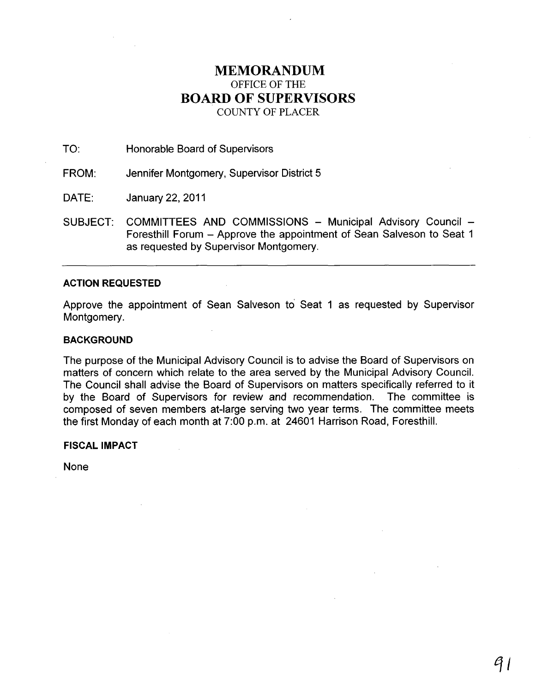# **MEMORANDUM**  OFFICE OF THE **BOARD OF SUPERVISORS**  COUNTY OF PLACER

TO: Honorable Board of Supervisors

FROM: Jennifer Montgomery, Supervisor District 5

DATE: January 22,2011

SUBJECT: COMMITTEES AND COMMISSIONS - Municipal Advisory Council -Foresthill Forum - Approve the appointment of Sean Salveson to Seat 1 as requested by Supervisor Montgomery.

### **ACTION REQUESTED**

Approve the appointment of Sean Salveson to' Seat 1 as requested by Supervisor Montgomery.

#### **BACKGROUND**

The purpose of the Municipal Advisory Council is to advise the Board of Supervisors on matters of concern which relate to the area served by the Municipal Advisory Council. The Council shall advise the Board of Supervisors on matters specifically referred to it by the Board of Supervisors for review and recommendation. The committee is composed of seven members at-large serving two year terms. The committee meets the first Monday of each month at 7:00 p.m. at 24601 Harrison Road, Foresthill.

**FISCAL IMPACT** 

None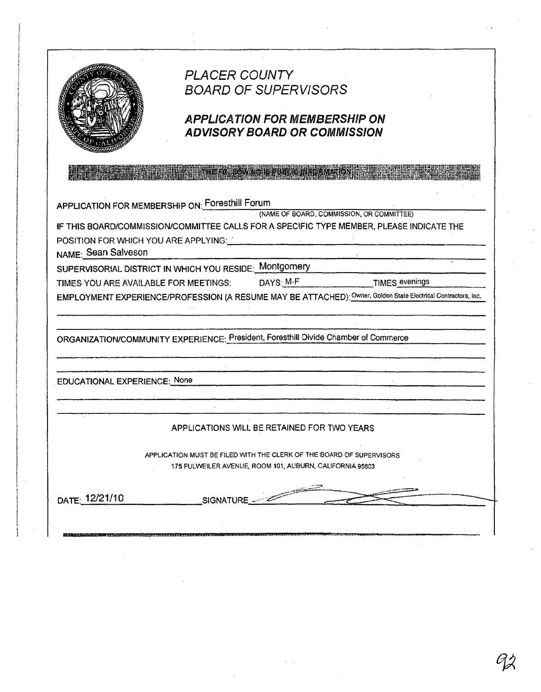

# **PLACER COUNTY BOARD OF SUPERVISORS**

# **APPLICATION FOR MEMBERSHIP ON ADVISORY BOARD OR COMMISSION**

**FOLLOWING IS EDERIC IN ELECTION** 

APPLICATION FOR MEMBERSHIP ON: Foresthill Forum

(NAME OF BOARD, COMMISSION, OR COMMITTEE)

IF THIS BOARD/COMMISSION/COMMITTEE CALLS FOR A SPECIFIC TYPE MEMBER, PLEASE INDICATE THE POSITION FOR WHICH YOU ARE APPLYING:

NAME: Sean Salveson

SUPERVISORIAL DISTRICT IN WHICH YOU RESIDE: Montgomery

TIMES YOU ARE AVAILABLE FOR MEETINGS:

DAYS: M-F

**TIMES evenings** 

EMPLOYMENT EXPERIENCE/PROFESSION (A RESUME MAY BE ATTACHED): Owner, Golden State Electrical Contractors, Inc.

ORGANIZATION/COMMUNITY EXPERIENCE: President, Foresthill Divide Chamber of Commerce

**EDUCATIONAL EXPERIENCE: None** 

## APPLICATIONS WILL BE RETAINED FOR TWO YEARS

APPLICATION MUST BE FILED WITH THE CLERK OF THE BOARD OF SUPERVISORS 175 FULWEILER AVENUE, ROOM 101, AUBURN, CALIFORNIA 95603

DATE: 12/21/10

SIGNATURE -